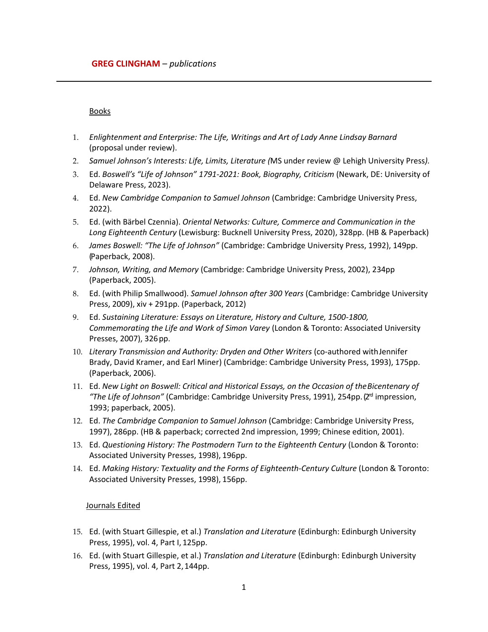### Books

- 1. *Enlightenment and Enterprise: The Life, Writings and Art of Lady Anne Lindsay Barnard* (proposal under review).
- 2. *Samuel Johnson's Interests: Life, Limits, Literature (*MS under review @ Lehigh University Press*).*
- 3. Ed. *Boswell's "Life of Johnson" 1791-2021: Book, Biography, Criticism* (Newark, DE: University of Delaware Press, 2023).
- 4. Ed. *New Cambridge Companion to Samuel Johnson* (Cambridge: Cambridge University Press, 2022).
- 5. Ed. (with Bärbel Czennia). *Oriental Networks: Culture, Commerce and Communication in the Long Eighteenth Century* (Lewisburg: Bucknell University Press, 2020), 328pp. (HB & Paperback)
- 6. *James Boswell: "The Life of Johnson"* (Cambridge: Cambridge University Press, 1992), 149pp. (Paperback, 2008).
- 7. *Johnson, Writing, and Memory* (Cambridge: Cambridge University Press, 2002), 234pp (Paperback, 2005).
- 8. Ed. (with Philip Smallwood). *Samuel Johnson after 300 Years* (Cambridge: Cambridge University Press, 2009), xiv + 291pp. (Paperback, 2012)
- 9. Ed. *Sustaining Literature: Essays on Literature, History and Culture, 1500-1800, Commemorating the Life and Work of Simon Varey* (London & Toronto: Associated University Presses, 2007), 326pp.
- 10. Literary Transmission and Authority: Dryden and Other Writers (co-authored with Jennifer Brady, David Kramer, and Earl Miner) (Cambridge: Cambridge University Press, 1993), 175pp. (Paperback, 2006).
- 11. Ed. *New Light on Boswell: Critical and Historical Essays, on the Occasion of theBicentenary of "The Life of Johnson"* (Cambridge: Cambridge University Press, 1991), 254pp. (2<sup>rd</sup> impression, 1993; paperback, 2005).
- 12. Ed. *The Cambridge Companion to Samuel Johnson* (Cambridge: Cambridge University Press, 1997), 286pp. (HB & paperback; corrected 2nd impression, 1999; Chinese edition, 2001).
- 13. Ed. *Questioning History: The Postmodern Turn to the Eighteenth Century* (London & Toronto: Associated University Presses, 1998), 196pp.
- 14. Ed. Making History: Textuality and the Forms of Eighteenth-Century Culture (London & Toronto: Associated University Presses, 1998), 156pp.

### Journals Edited

- 15. Ed. (with Stuart Gillespie, et al.) *Translation and Literature* (Edinburgh: Edinburgh University Press, 1995), vol. 4, Part I, 125pp.
- 16. Ed. (with Stuart Gillespie, et al.) *Translation and Literature* (Edinburgh: Edinburgh University Press, 1995), vol. 4, Part 2,144pp.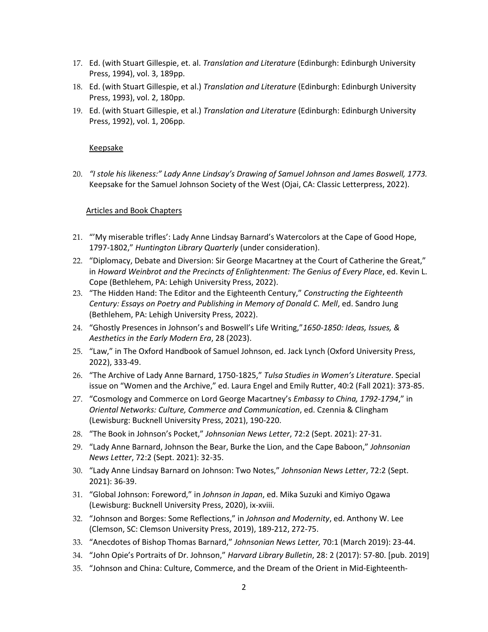- 17. Ed. (with Stuart Gillespie, et. al. *Translation and Literature* (Edinburgh: Edinburgh University Press, 1994), vol. 3, 189pp.
- 18. Ed. (with Stuart Gillespie, et al.) *Translation and Literature* (Edinburgh: Edinburgh University Press, 1993), vol. 2, 180pp.
- 19. Ed. (with Stuart Gillespie, et al.) *Translation and Literature* (Edinburgh: Edinburgh University Press, 1992), vol. 1, 206pp.

# Keepsake

20. *"I stole his likeness:" Lady Anne Lindsay's Drawing of Samuel Johnson and James Boswell, 1773.* Keepsake for the Samuel Johnson Society of the West (Ojai, CA: Classic Letterpress, 2022).

# Articles and Book Chapters

- 21. "'My miserable trifles': Lady Anne Lindsay Barnard's Watercolors at the Cape of Good Hope, 1797-1802," *Huntington Library Quarterly* (under consideration).
- 22. "Diplomacy, Debate and Diversion: Sir George Macartney at the Court of Catherine the Great," in *Howard Weinbrot and the Precincts of Enlightenment: The Genius of Every Place*, ed. Kevin L. Cope (Bethlehem, PA: Lehigh University Press, 2022).
- 23. "The Hidden Hand: The Editor and the Eighteenth Century," *Constructing the Eighteenth Century: Essays on Poetry and Publishing in Memory of Donald C. Mell*, ed. Sandro Jung (Bethlehem, PA: Lehigh University Press, 2022).
- 24. "Ghostly Presences in Johnson's and Boswell's Life Writing,"*1650-1850: Ideas, Issues, & Aesthetics in the Early Modern Era*, 28 (2023).
- 25. "Law," in The Oxford Handbook of Samuel Johnson, ed. Jack Lynch (Oxford University Press, 2022), 333-49.
- 26. "The Archive of Lady Anne Barnard, 1750-1825," *Tulsa Studies in Women's Literature*. Special issue on "Women and the Archive," ed. Laura Engel and Emily Rutter, 40:2 (Fall 2021): 373-85.
- 27. "Cosmology and Commerce on Lord George Macartney's *Embassy to China, 1792-1794*," in *Oriental Networks: Culture, Commerce and Communication*, ed. Czennia & Clingham (Lewisburg: Bucknell University Press, 2021), 190-220.
- 28. "The Book in Johnson's Pocket," *Johnsonian News Letter*, 72:2 (Sept. 2021): 27-31.
- 29. "Lady Anne Barnard, Johnson the Bear, Burke the Lion, and the Cape Baboon," *Johnsonian News Letter*, 72:2 (Sept. 2021): 32-35.
- 30. "Lady Anne Lindsay Barnard on Johnson: Two Notes," *Johnsonian News Letter*, 72:2 (Sept. 2021): 36-39.
- 31. "Global Johnson: Foreword," in *Johnson in Japan*, ed. Mika Suzuki and Kimiyo Ogawa (Lewisburg: Bucknell University Press, 2020), ix-xviii.
- 32. "Johnson and Borges: Some Reflections," in *Johnson and Modernity*, ed. Anthony W. Lee (Clemson, SC: Clemson University Press, 2019), 189-212, 272-75.
- 33. "Anecdotes of Bishop Thomas Barnard," *Johnsonian News Letter,* 70:1 (March 2019): 23-44.
- 34. "John Opie's Portraits of Dr. Johnson," *Harvard Library Bulletin*, 28: 2 (2017): 57-80. [pub. 2019]
- 35. "Johnson and China: Culture, Commerce, and the Dream of the Orient in Mid-Eighteenth-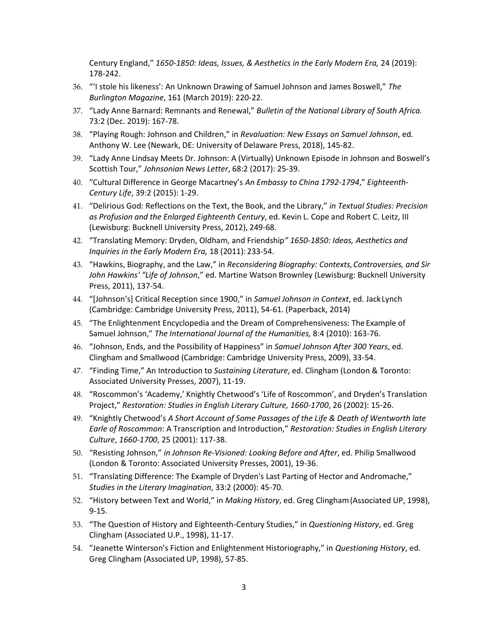Century England," *1650-1850: Ideas, Issues, & Aesthetics in the Early Modern Era,* 24 (2019): 178-242.

- 36. "'I stole his likeness': An Unknown Drawing of Samuel Johnson and James Boswell," *The Burlington Magazine*, 161 (March 2019): 220-22.
- 37. "Lady Anne Barnard: Remnants and Renewal," *Bulletin of the National Library of South Africa.* 73:2 (Dec. 2019): 167-78.
- 38. "Playing Rough: Johnson and Children," in *Revaluation: New Essays on Samuel Johnson*, ed. Anthony W. Lee (Newark, DE: University of Delaware Press, 2018), 145-82.
- 39. "Lady Anne Lindsay Meets Dr. Johnson: A (Virtually) Unknown Episode in Johnson and Boswell's Scottish Tour," *Johnsonian News Letter*, 68:2 (2017): 25-39.
- 40. "Cultural Difference in George Macartney's *An Embassy to China 1792-1794*," *Eighteenth-Century Life*, 39:2 (2015): 1-29.
- 41. "Delirious God: Reflections on the Text, the Book, and the Library," *in Textual Studies: Precision as Profusion and the Enlarged Eighteenth Century*, ed. Kevin L. Cope and Robert C. Leitz, III (Lewisburg: Bucknell University Press, 2012), 249-68.
- 42. "Translating Memory: Dryden, Oldham, and Friendship*" 1650-1850: Ideas, Aesthetics and Inquiries in the Early Modern Era,* 18 (2011): 233-54.
- 43. "Hawkins, Biography, and the Law," in *Reconsidering Biography: Contexts,Controversies, and Sir John Hawkins' "Life of Johnson*," ed. Martine Watson Brownley (Lewisburg: Bucknell University Press, 2011), 137-54.
- 44. "[Johnson's] Critical Reception since 1900," in *Samuel Johnson in Context*, ed. JackLynch (Cambridge: Cambridge University Press, 2011), 54-61. (Paperback, 2014)
- 45. "The Enlightenment Encyclopedia and the Dream of Comprehensiveness: The Example of Samuel Johnson," *The International Journal of the Humanities,* 8:4 (2010): 163-76.
- 46. "Johnson, Ends, and the Possibility of Happiness" in *Samuel Johnson After 300 Years*, ed. Clingham and Smallwood (Cambridge: Cambridge University Press, 2009), 33-54.
- 47. "Finding Time," An Introduction to *Sustaining Literature*, ed. Clingham (London & Toronto: Associated University Presses, 2007), 11-19.
- 48. "Roscommon's 'Academy,' Knightly Chetwood's 'Life of Roscommon', and Dryden's Translation Project," *Restoration: Studies in English Literary Culture, 1660-1700*, 26 (2002): 15-26.
- 49. "Knightly Chetwood's *A Short Account of Some Passages of the Life & Death of Wentworth late Earle of Roscommon*: A Transcription and Introduction," *Restoration: Studies in English Literary Culture*, *1660-1700*, 25 (2001): 117-38.
- 50. "Resisting Johnson," *in Johnson Re-Visioned: Looking Before and After*, ed. Philip Smallwood (London & Toronto: Associated University Presses, 2001), 19-36.
- 51. "Translating Difference: The Example of Dryden's Last Parting of Hector and Andromache," *Studies in the Literary Imagination*, 33:2 (2000): 45-70.
- 52. "History between Text and World," in *Making History*, ed. Greg Clingham(Associated UP, 1998), 9-15.
- 53. "The Question of History and Eighteenth-Century Studies," in *Questioning History*, ed. Greg Clingham (Associated U.P., 1998), 11-17.
- 54. "Jeanette Winterson's Fiction and Enlightenment Historiography," in *Questioning History*, ed. Greg Clingham (Associated UP, 1998), 57-85.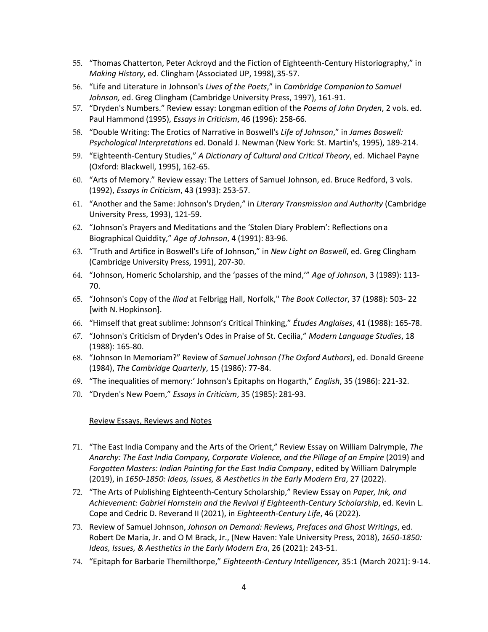- 55. "Thomas Chatterton, Peter Ackroyd and the Fiction of Eighteenth-Century Historiography," in *Making History*, ed. Clingham (Associated UP, 1998),35-57.
- 56. "Life and Literature in Johnson's *Lives of the Poets*," in *Cambridge Companionto Samuel Johnson,* ed. Greg Clingham (Cambridge University Press, 1997), 161-91.
- 57. "Dryden's Numbers." Review essay: Longman edition of the *Poems of John Dryden*, 2 vols. ed. Paul Hammond (1995), *Essays in Criticism*, 46 (1996): 258-66.
- 58. "Double Writing: The Erotics of Narrative in Boswell's *Life of Johnson*," in *James Boswell: Psychological Interpretations* ed. Donald J. Newman (New York: St. Martin's, 1995), 189-214.
- 59. "Eighteenth-Century Studies," *A Dictionary of Cultural and Critical Theory*, ed. Michael Payne (Oxford: Blackwell, 1995), 162-65.
- 60. "Arts of Memory." Review essay: The Letters of Samuel Johnson, ed. Bruce Redford, 3 vols. (1992), *Essays in Criticism*, 43 (1993): 253-57.
- 61. "Another and the Same: Johnson's Dryden," in *Literary Transmission and Authority* (Cambridge University Press, 1993), 121-59.
- 62. "Johnson's Prayers and Meditations and the 'Stolen Diary Problem': Reflections ona Biographical Quiddity," *Age of Johnson*, 4 (1991): 83-96.
- 63. "Truth and Artifice in Boswell's Life of Johnson," in *New Light on Boswell*, ed. Greg Clingham (Cambridge University Press, 1991), 207-30.
- 64. "Johnson, Homeric Scholarship, and the 'passes of the mind,'" *Age of Johnson*, 3 (1989): 113- 70.
- 65. "Johnson's Copy of the *Iliad* at Felbrigg Hall, Norfolk," *The Book Collector*, 37 (1988): 503- 22 [with N. Hopkinson].
- 66. "Himself that great sublime: Johnson's Critical Thinking," *Études Anglaises*, 41 (1988): 165-78.
- 67. "Johnson's Criticism of Dryden's Odes in Praise of St. Cecilia," *Modern Language Studies*, 18 (1988): 165-80.
- 68. "Johnson In Memoriam?" Review of *Samuel Johnson (The Oxford Authors*), ed. Donald Greene (1984), *The Cambridge Quarterly*, 15 (1986): 77-84.
- 69. "The inequalities of memory:' Johnson's Epitaphs on Hogarth," *English*, 35 (1986): 221-32.
- 70. "Dryden's New Poem," *Essays in Criticism*, 35 (1985): 281-93.

### Review Essays, Reviews and Notes

- 71. "The East India Company and the Arts of the Orient," Review Essay on William Dalrymple, *The Anarchy: The East India Company, Corporate Violence, and the Pillage of an Empire* (2019) and *Forgotten Masters: Indian Painting for the East India Company*, edited by William Dalrymple (2019), in *1650-1850: Ideas, Issues, & Aesthetics in the Early Modern Era*, 27 (2022).
- 72. "The Arts of Publishing Eighteenth-Century Scholarship," Review Essay on *Paper, Ink, and Achievement: Gabriel Hornstein and the Revival if Eighteenth-Century Scholarship*, ed. Kevin L. Cope and Cedric D. Reverand II (2021), in *Eighteenth-Century Life*, 46 (2022).
- 73. Review of Samuel Johnson, *Johnson on Demand: Reviews, Prefaces and Ghost Writings*, ed. Robert De Maria, Jr. and O M Brack, Jr., (New Haven: Yale University Press, 2018), *1650-1850: Ideas, Issues, & Aesthetics in the Early Modern Era*, 26 (2021): 243-51.
- 74. "Epitaph for Barbarie Themilthorpe," *Eighteenth-Century Intelligencer,* 35:1 (March 2021): 9-14.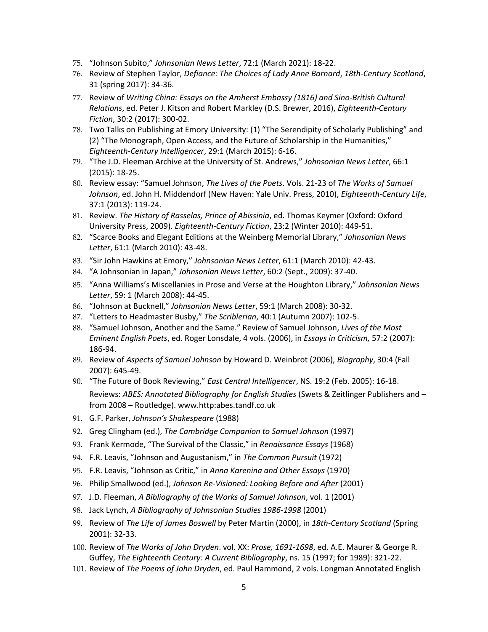- 75. "Johnson Subito," *Johnsonian News Letter*, 72:1 (March 2021): 18-22.
- 76. Review of Stephen Taylor, *Defiance: The Choices of Lady Anne Barnard*, *18th-Century Scotland*, 31 (spring 2017): 34-36.
- 77. Review of *Writing China: Essays on the Amherst Embassy (1816) and Sino-British Cultural Relations*, ed. Peter J. Kitson and Robert Markley (D.S. Brewer, 2016), *Eighteenth-Century Fiction*, 30:2 (2017): 300-02.
- 78. Two Talks on Publishing at Emory University: (1) "The Serendipity of Scholarly Publishing" and (2) "The Monograph, Open Access, and the Future of Scholarship in the Humanities," *Eighteenth-Century Intelligencer*, 29:1 (March 2015): 6-16.
- 79. "The J.D. Fleeman Archive at the University of St. Andrews," *Johnsonian News Letter*, 66:1 (2015): 18-25.
- 80. Review essay: "Samuel Johnson, *The Lives of the Poets*. Vols. 21-23 of *The Works of Samuel Johnson*, ed. John H. Middendorf (New Haven: Yale Univ. Press, 2010), *Eighteenth-Century Life*, 37:1 (2013): 119-24.
- 81. Review. *The History of Rasselas, Prince of Abissinia*, ed. Thomas Keymer (Oxford: Oxford University Press, 2009). *Eighteenth-Century Fiction*, 23:2 (Winter 2010): 449-51.
- 82. "Scarce Books and Elegant Editions at the Weinberg Memorial Library," *Johnsonian News Letter*, 61:1 (March 2010): 43-48.
- 83. "Sir John Hawkins at Emory," *Johnsonian News Letter*, 61:1 (March 2010): 42-43.
- 84. "A Johnsonian in Japan," *Johnsonian News Letter*, 60:2 (Sept., 2009): 37-40.
- 85. "Anna Williams's Miscellanies in Prose and Verse at the Houghton Library," *Johnsonian News Letter*, 59: 1 (March 2008): 44-45.
- 86. "Johnson at Bucknell," *Johnsonian News Letter*, 59:1 (March 2008): 30-32.
- 87. "Letters to Headmaster Busby," *The Scriblerian*, 40:1 (Autumn 2007): 102-5.
- 88. "Samuel Johnson, Another and the Same." Review of Samuel Johnson, *Lives of the Most Eminent English Poets*, ed. Roger Lonsdale, 4 vols. (2006), in *Essays in Criticism,* 57:2 (2007): 186-94.
- 89. Review of *Aspects of Samuel Johnson* by Howard D. Weinbrot (2006), *Biography*, 30:4 (Fall 2007): 645-49.
- 90. "The Future of Book Reviewing," *East Central Intelligencer*, NS. 19:2 (Feb. 2005): 16-18. Reviews: *ABES: Annotated Bibliography for English Studies* (Swets & Zeitlinger Publishers and – from 2008 – Routledge). www.http:abes.tandf.co.uk
- 91. G.F. Parker, *Johnson's Shakespeare* (1988)
- 92. Greg Clingham (ed.), *The Cambridge Companion to Samuel Johnson* (1997)
- 93. Frank Kermode, "The Survival of the Classic," in *Renaissance Essays* (1968)
- 94. F.R. Leavis, "Johnson and Augustanism," in *The Common Pursuit* (1972)
- 95. F.R. Leavis, "Johnson as Critic," in *Anna Karenina and Other Essays* (1970)
- 96. Philip Smallwood (ed.), *Johnson Re-Visioned: Looking Before and After* (2001)
- 97. J.D. Fleeman, *A Bibliography of the Works of Samuel Johnson*, vol. 1 (2001)
- 98. Jack Lynch, *A Bibliography of Johnsonian Studies 1986-1998* (2001)
- 99. Review of *The Life of James Boswell* by Peter Martin (2000), in *18th-Century Scotland* (Spring 2001): 32-33.
- 100. Review of *The Works of John Dryden*. vol. XX: *Prose, 1691-1698*, ed. A.E. Maurer & George R. Guffey, *The Eighteenth Century: A Current Bibliography*, ns. 15 (1997; for 1989): 321-22.
- 101. Review of *The Poems of John Dryden*, ed. Paul Hammond, 2 vols. Longman Annotated English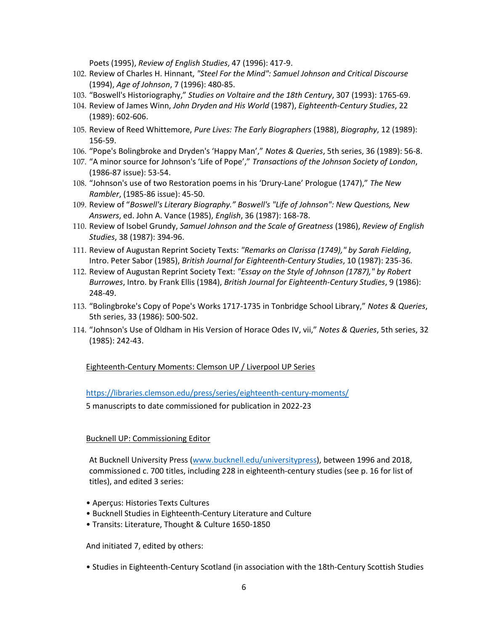Poets (1995), *Review of English Studies*, 47 (1996): 417-9.

- 102. Review of Charles H. Hinnant, *"Steel For the Mind": Samuel Johnson and Critical Discourse* (1994), *Age of Johnson*, 7 (1996): 480-85.
- 103. "Boswell's Historiography," *Studies on Voltaire and the 18th Century*, 307 (1993): 1765-69.
- 104. Review of James Winn, *John Dryden and His World* (1987), *Eighteenth-Century Studies*, 22 (1989): 602-606.
- 105. Review of Reed Whittemore, *Pure Lives: The Early Biographers* (1988), *Biography*, 12 (1989): 156-59.
- 106. "Pope's Bolingbroke and Dryden's 'Happy Man'," *Notes & Queries*, 5th series, 36 (1989): 56-8.
- 107. "A minor source for Johnson's 'Life of Pope'," *Transactions of the Johnson Society of London*, (1986-87 issue): 53-54.
- 108. "Johnson's use of two Restoration poems in his 'Drury-Lane' Prologue (1747)," *The New Rambler*, (1985-86 issue): 45-50.
- 109. Review of "*Boswell's Literary Biography." Boswell's "Life of Johnson": New Questions, New Answers*, ed. John A. Vance (1985), *English*, 36 (1987): 168-78.
- 110. Review of Isobel Grundy, *Samuel Johnson and the Scale of Greatness* (1986), *Review of English Studies*, 38 (1987): 394-96.
- 111. Review of Augustan Reprint Society Texts: *"Remarks on Clarissa (1749)," by Sarah Fielding*, Intro. Peter Sabor (1985), *British Journal for Eighteenth-Century Studies*, 10 (1987): 235-36.
- 112. Review of Augustan Reprint Society Text: *"Essay on the Style of Johnson (1787)," by Robert Burrowes*, Intro. by Frank Ellis (1984), *British Journal for Eighteenth-Century Studies*, 9 (1986): 248-49.
- 113. "Bolingbroke's Copy of Pope's Works 1717-1735 in Tonbridge School Library," *Notes & Queries*, 5th series, 33 (1986): 500-502.
- 114. "Johnson's Use of Oldham in His Version of Horace Odes IV, vii," *Notes & Queries*, 5th series, 32 (1985): 242-43.

Eighteenth-Century Moments: Clemson UP / Liverpool UP Series

<https://libraries.clemson.edu/press/series/eighteenth-century-moments/>

5 manuscripts to date commissioned for publication in 2022-23

### Bucknell UP: Commissioning Editor

At Bucknell University Press [\(www.bucknell.edu/universitypress\)](http://www.bucknell.edu/universitypress), between 1996 and 2018, commissioned c. 700 titles, including 228 in eighteenth-century studies (see p. 16 for list of titles), and edited 3 series:

- Aperçus: Histories Texts Cultures
- Bucknell Studies in Eighteenth-Century Literature and Culture
- Transits: Literature, Thought & Culture 1650-1850

And initiated 7, edited by others:

• Studies in Eighteenth-Century Scotland (in association with the 18th-Century Scottish Studies